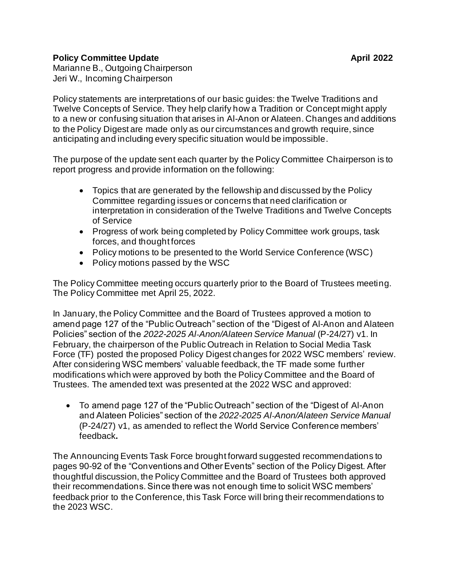## **Policy Committee Update April 2022**

Marianne B., Outgoing Chairperson Jeri W., Incoming Chairperson

Policy statements are interpretations of our basic guides: the Twelve Traditions and Twelve Concepts of Service. They help clarify how a Tradition or Concept might apply to a new or confusing situation that arises in Al-Anon or Alateen. Changes and additions to the Policy Digest are made only as our circumstances and growth require, since anticipating and including every specific situation would be impossible.

The purpose of the update sent each quarter by the Policy Committee Chairperson is to report progress and provide information on the following:

- Topics that are generated by the fellowship and discussed by the Policy Committee regarding issues or concerns that need clarification or interpretation in consideration of the Twelve Traditions and Twelve Concepts of Service
- Progress of work being completed by Policy Committee work groups, task forces, and thought forces
- Policy motions to be presented to the World Service Conference (WSC)
- Policy motions passed by the WSC

The Policy Committee meeting occurs quarterly prior to the Board of Trustees meeting. The Policy Committee met April 25, 2022.

In January, the Policy Committee and the Board of Trustees approved a motion to amend page 127 of the "Public Outreach" section of the "Digest of Al-Anon and Alateen Policies" section of the *2022-2025 Al‑Anon/Alateen Service Manual* (P-24/27) v1. In February, the chairperson of the Public Outreach in Relation to Social Media Task Force (TF) posted the proposed Policy Digest changes for 2022 WSC members' review. After considering WSC members' valuable feedback, the TF made some further modifications which were approved by both the Policy Committee and the Board of Trustees. The amended text was presented at the 2022 WSC and approved:

• To amend page 127 of the "Public Outreach" section of the "Digest of Al-Anon and Alateen Policies" section of the *2022-2025 Al‑Anon/Alateen Service Manual* (P-24/27) v1, as amended to reflect the World Service Conference members' feedback**.**

The Announcing Events Task Force brought forward suggested recommendations to pages 90-92 of the "Conventions and Other Events" section of the Policy Digest. After thoughtful discussion, the Policy Committee and the Board of Trustees both approved their recommendations. Since there was not enough time to solicit WSC members' feedback prior to the Conference, this Task Force will bring their recommendations to the 2023 WSC.